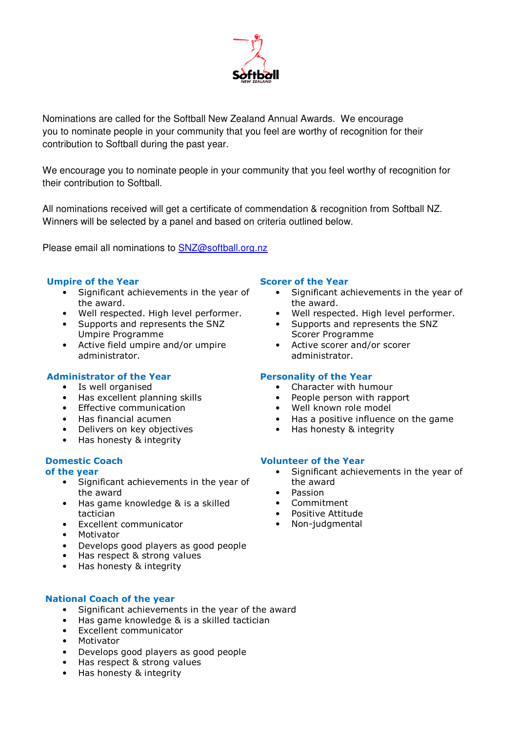

Nominations are called for the Softball New Zealand Annual Awards. We encourage you to nominate people in your community that you feel are worthy of recognition for their contribution to Softball during the past year.

We encourage you to nominate people in your community that you feel worthy of recognition for their contribution to Softball.

All nominations received will get a certificate of commendation & recognition from Softball NZ. Winners will be selected by a panel and based on criteria outlined below.

Please email all nominations to **SNZ@softball.org.nz** 

## Umpire of the Year

- Significant achievements in the year of the award.
- Well respected. High level performer.
- Supports and represents the SNZ Umpire Programme
- Active field umpire and/or umpire administrator.

### Administrator of the Year

- Is well organised
- Has excellent planning skills
- Effective communication
- Has financial acumen
- Delivers on key objectives
- Has honesty & integrity

# Domestic Coach

#### of the year

- Significant achievements in the year of the award
- Has game knowledge & is a skilled tactician
- Excellent communicator
- Motivator
- Develops good players as good people
- Has respect & strong values
- Has honesty & integrity

## National Coach of the year

- Significant achievements in the year of the award
- Has game knowledge & is a skilled tactician
- Excellent communicator
- Motivator
- Develops good players as good people
- Has respect & strong values
- Has honesty & integrity

### Scorer of the Year

- Significant achievements in the year of the award.
- Well respected. High level performer.
- Supports and represents the SNZ Scorer Programme
- Active scorer and/or scorer administrator.

### Personality of the Year

- Character with humour
- People person with rapport
- Well known role model
- Has a positive influence on the game
- Has honesty & integrity

### Volunteer of the Year

- Significant achievements in the year of the award
- Passion
- Commitment
- Positive Attitude
- Non-judgmental